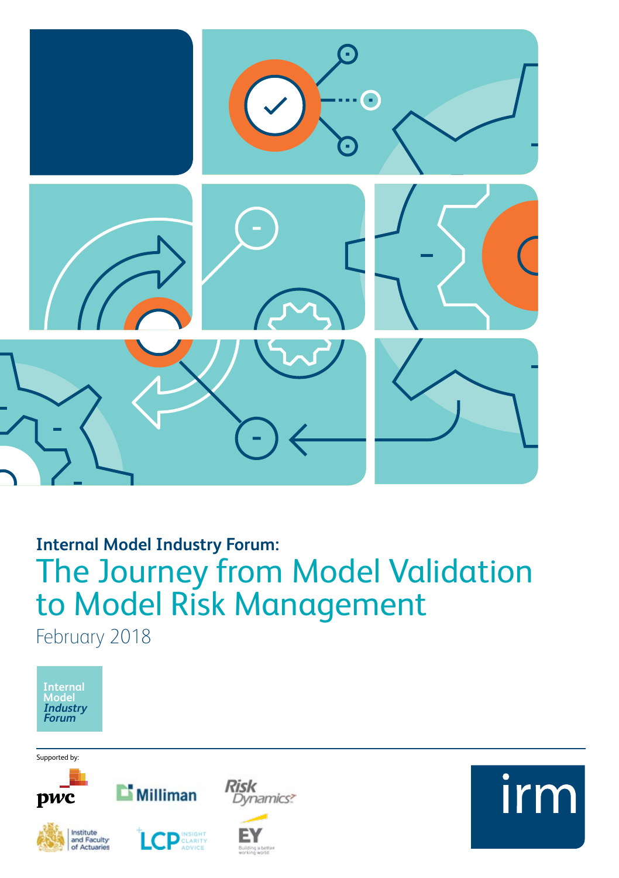

# **Internal Model Industry Forum:** The Journey from Model Validation to Model Risk Management February 2018



Supported by:





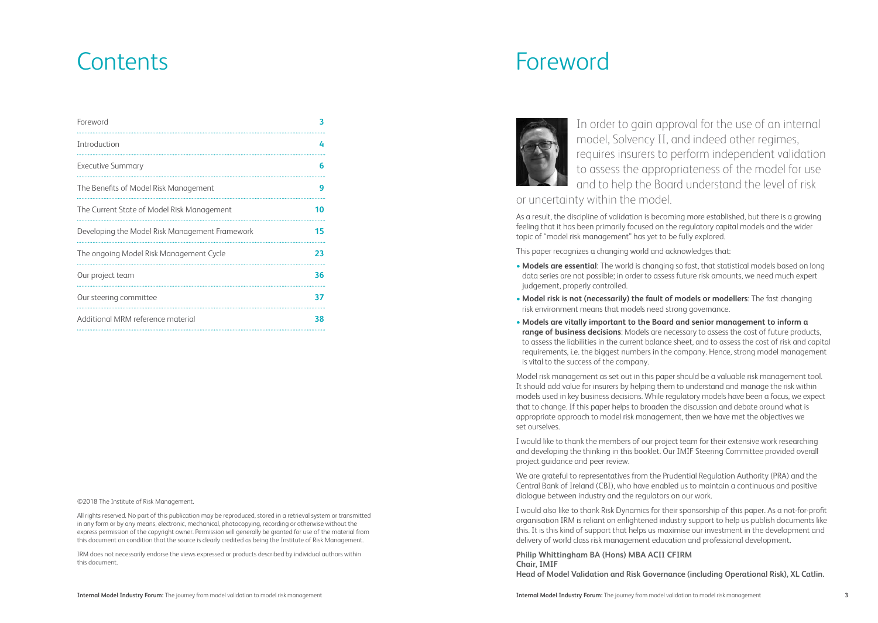| Foreword                                       | 3  |
|------------------------------------------------|----|
| Introduction                                   | 4  |
| <b>Executive Summary</b>                       | 6  |
| The Benefits of Model Risk Management          | 9  |
| The Current State of Model Risk Management     | 10 |
| Developing the Model Risk Management Framework | 15 |
| The ongoing Model Risk Management Cycle        | 23 |
| Our project team                               | 36 |
| Our steering committee                         | 37 |
| Additional MRM reference material              | 38 |
|                                                |    |

©2018 The Institute of Risk Management.

All rights reserved. No part of this publication may be reproduced, stored in a retrieval system or transmitted in any form or by any means, electronic, mechanical, photocopying, recording or otherwise without the express permission of the copyright owner. Permission will generally be granted for use of the material from this document on condition that the source is clearly credited as being the Institute of Risk Management.

IRM does not necessarily endorse the views expressed or products described by individual authors within this document.

# Contents Foreword



In order to gain approval for the use of an internal model, Solvency II, and indeed other regimes, requires insurers to perform independent validation to assess the appropriateness of the model for use and to help the Board understand the level of risk

or uncertainty within the model.

As a result, the discipline of validation is becoming more established, but there is a growing feeling that it has been primarily focused on the regulatory capital models and the wider topic of "model risk management" has yet to be fully explored.

This paper recognizes a changing world and acknowledges that:

- **Models are essential**: The world is changing so fast, that statistical models based on long data series are not possible; in order to assess future risk amounts, we need much expert judgement, properly controlled.
- **Model risk is not (necessarily) the fault of models or modellers**: The fast changing risk environment means that models need strong governance.
- **Models are vitally important to the Board and senior management to inform a range of business decisions**: Models are necessary to assess the cost of future products, to assess the liabilities in the current balance sheet, and to assess the cost of risk and capital requirements, i.e. the biggest numbers in the company. Hence, strong model management is vital to the success of the company.

Model risk management as set out in this paper should be a valuable risk management tool. It should add value for insurers by helping them to understand and manage the risk within models used in key business decisions. While regulatory models have been a focus, we expect that to change. If this paper helps to broaden the discussion and debate around what is appropriate approach to model risk management, then we have met the objectives we set ourselves.

I would like to thank the members of our project team for their extensive work researching and developing the thinking in this booklet. Our IMIF Steering Committee provided overall project guidance and peer review.

We are grateful to representatives from the Prudential Regulation Authority (PRA) and the Central Bank of Ireland (CBI), who have enabled us to maintain a continuous and positive dialogue between industry and the regulators on our work.

I would also like to thank Risk Dynamics for their sponsorship of this paper. As a not-for-profit organisation IRM is reliant on enlightened industry support to help us publish documents like this. It is this kind of support that helps us maximise our investment in the development and delivery of world class risk management education and professional development.

**Philip Whittingham BA (Hons) MBA ACII CFIRM Chair, IMIF Head of Model Validation and Risk Governance (including Operational Risk), XL Catlin.**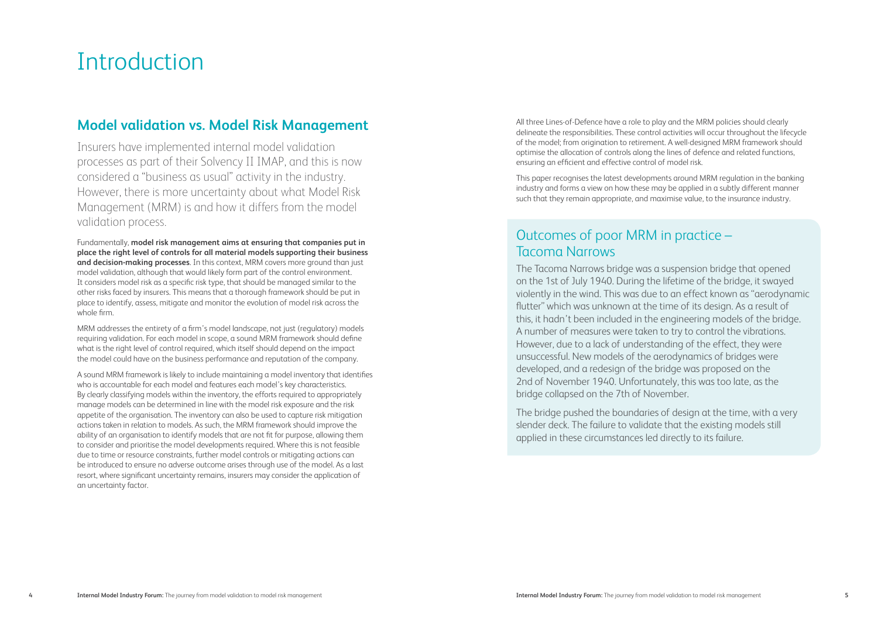# Introduction

### **Model validation vs. Model Risk Management**

Insurers have implemented internal model validation processes as part of their Solvency II IMAP, and this is now considered a "business as usual" activity in the industry. However, there is more uncertainty about what Model Risk Management (MRM) is and how it differs from the model validation process.

Fundamentally, **model risk management aims at ensuring that companies put in place the right level of controls for all material models supporting their business and decision-making processes**. In this context, MRM covers more ground than just model validation, although that would likely form part of the control environment. It considers model risk as a specific risk type, that should be managed similar to the other risks faced by insurers. This means that a thorough framework should be put in place to identify, assess, mitigate and monitor the evolution of model risk across the whole firm.

MRM addresses the entirety of a firm's model landscape, not just (regulatory) models requiring validation. For each model in scope, a sound MRM framework should define what is the right level of control required, which itself should depend on the impact the model could have on the business performance and reputation of the company.

A sound MRM framework is likely to include maintaining a model inventory that identifies who is accountable for each model and features each model's key characteristics. By clearly classifying models within the inventory, the efforts required to appropriately manage models can be determined in line with the model risk exposure and the risk appetite of the organisation. The inventory can also be used to capture risk mitigation actions taken in relation to models. As such, the MRM framework should improve the ability of an organisation to identify models that are not fit for purpose, allowing them to consider and prioritise the model developments required. Where this is not feasible due to time or resource constraints, further model controls or mitigating actions can be introduced to ensure no adverse outcome arises through use of the model. As a last resort, where significant uncertainty remains, insurers may consider the application of an uncertainty factor.

All three Lines-of-Defence have a role to play and the MRM policies should clearly delineate the responsibilities. These control activities will occur throughout the lifecycle of the model; from origination to retirement. A well-designed MRM framework should optimise the allocation of controls along the lines of defence and related functions, ensuring an efficient and effective control of model risk.

This paper recognises the latest developments around MRM regulation in the banking industry and forms a view on how these may be applied in a subtly different manner such that they remain appropriate, and maximise value, to the insurance industry.

# Outcomes of poor MRM in practice – Tacoma Narrows

The Tacoma Narrows bridge was a suspension bridge that opened on the 1st of July 1940. During the lifetime of the bridge, it swayed violently in the wind. This was due to an effect known as "aerodynamic flutter" which was unknown at the time of its design. As a result of this, it hadn't been included in the engineering models of the bridge. A number of measures were taken to try to control the vibrations. However, due to a lack of understanding of the effect, they were unsuccessful. New models of the aerodynamics of bridges were developed, and a redesign of the bridge was proposed on the 2nd of November 1940. Unfortunately, this was too late, as the bridge collapsed on the 7th of November.

The bridge pushed the boundaries of design at the time, with a very slender deck. The failure to validate that the existing models still applied in these circumstances led directly to its failure.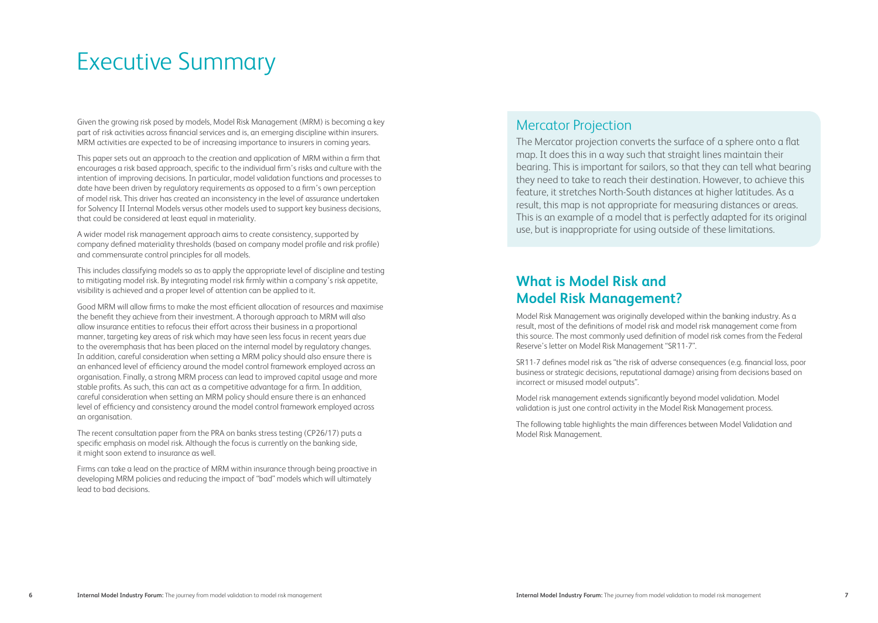# Executive Summary

Given the growing risk posed by models, Model Risk Management (MRM) is becoming a key part of risk activities across financial services and is, an emerging discipline within insurers. MRM activities are expected to be of increasing importance to insurers in coming years.

This paper sets out an approach to the creation and application of MRM within a firm that encourages a risk based approach, specific to the individual firm's risks and culture with the intention of improving decisions. In particular, model validation functions and processes to date have been driven by regulatory requirements as opposed to a firm's own perception of model risk. This driver has created an inconsistency in the level of assurance undertaken for Solvency II Internal Models versus other models used to support key business decisions, that could be considered at least equal in materiality.

A wider model risk management approach aims to create consistency, supported by company defined materiality thresholds (based on company model profile and risk profile) and commensurate control principles for all models.

This includes classifying models so as to apply the appropriate level of discipline and testing to mitigating model risk. By integrating model risk firmly within a company's risk appetite, visibility is achieved and a proper level of attention can be applied to it.

Good MRM will allow firms to make the most efficient allocation of resources and maximise the benefit they achieve from their investment. A thorough approach to MRM will also allow insurance entities to refocus their effort across their business in a proportional manner, targeting key areas of risk which may have seen less focus in recent years due to the overemphasis that has been placed on the internal model by regulatory changes. In addition, careful consideration when setting a MRM policy should also ensure there is an enhanced level of efficiency around the model control framework employed across an organisation. Finally, a strong MRM process can lead to improved capital usage and more stable profits. As such, this can act as a competitive advantage for a firm. In addition, careful consideration when setting an MRM policy should ensure there is an enhanced level of efficiency and consistency around the model control framework employed across an organisation.

The recent consultation paper from the PRA on banks stress testing (CP26/17) puts a specific emphasis on model risk. Although the focus is currently on the banking side, it might soon extend to insurance as well.

Firms can take a lead on the practice of MRM within insurance through being proactive in developing MRM policies and reducing the impact of "bad" models which will ultimately lead to bad decisions.

### Mercator Projection

The Mercator projection converts the surface of a sphere onto a flat map. It does this in a way such that straight lines maintain their bearing. This is important for sailors, so that they can tell what bearing they need to take to reach their destination. However, to achieve this feature, it stretches North-South distances at higher latitudes. As a result, this map is not appropriate for measuring distances or areas. This is an example of a model that is perfectly adapted for its original use, but is inappropriate for using outside of these limitations.

# **What is Model Risk and Model Risk Management?**

Model Risk Management was originally developed within the banking industry. As a result, most of the definitions of model risk and model risk management come from this source. The most commonly used definition of model risk comes from the Federal Reserve's letter on Model Risk Management "SR11-7".

SR11-7 defines model risk as "the risk of adverse consequences (e.g. financial loss, poor business or strategic decisions, reputational damage) arising from decisions based on incorrect or misused model outputs".

Model risk management extends significantly beyond model validation. Model validation is just one control activity in the Model Risk Management process.

The following table highlights the main differences between Model Validation and Model Risk Management.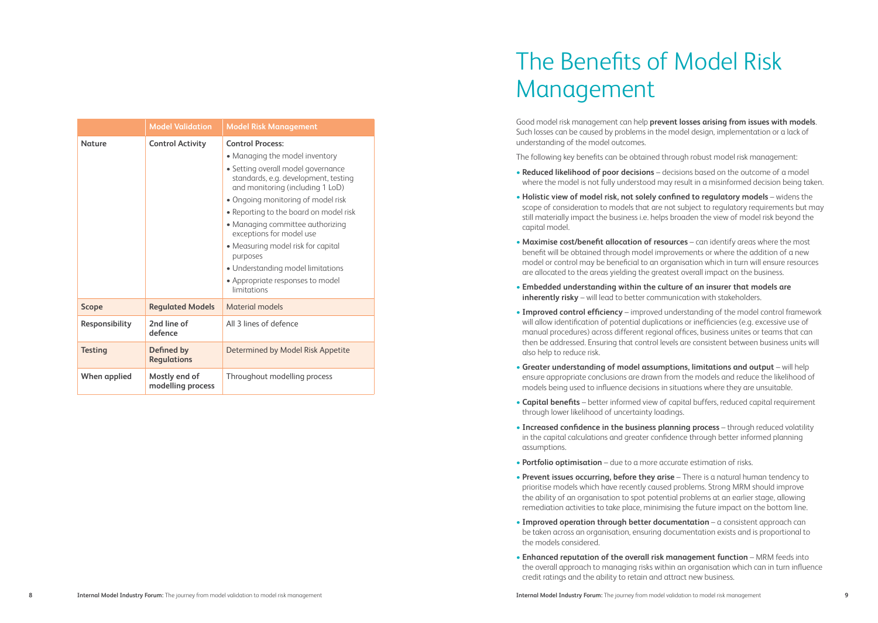|                | <b>Model Validation</b>            | <b>Model Risk Management</b>                                                                                   |
|----------------|------------------------------------|----------------------------------------------------------------------------------------------------------------|
| Nature         | <b>Control Activity</b>            | <b>Control Process:</b>                                                                                        |
|                |                                    | • Managing the model inventory                                                                                 |
|                |                                    | • Setting overall model governance<br>standards, e.g. development, testing<br>and monitoring (including 1 LoD) |
|                |                                    | • Ongoing monitoring of model risk                                                                             |
|                |                                    | • Reporting to the board on model risk                                                                         |
|                |                                    | • Managing committee authorizing<br>exceptions for model use                                                   |
|                |                                    | • Measuring model risk for capital<br>purposes                                                                 |
|                |                                    | • Understanding model limitations                                                                              |
|                |                                    | • Appropriate responses to model<br>limitations                                                                |
| <b>Scope</b>   | <b>Regulated Models</b>            | Material models                                                                                                |
| Responsibility | 2nd line of<br>defence             | All 3 lines of defence                                                                                         |
| <b>Testing</b> | Defined by<br><b>Regulations</b>   | Determined by Model Risk Appetite                                                                              |
| When applied   | Mostly end of<br>modelling process | Throughout modelling process                                                                                   |

# The Benefits of Model Risk Management

Good model risk management can help **prevent losses arising from issues with models**. Such losses can be caused by problems in the model design, implementation or a lack of understanding of the model outcomes.

The following key benefits can be obtained through robust model risk management:

- **Reduced likelihood of poor decisions** decisions based on the outcome of a model where the model is not fully understood may result in a misinformed decision being taken.
- **Holistic view of model risk, not solely confined to regulatory models** widens the scope of consideration to models that are not subject to regulatory requirements but may still materially impact the business i.e. helps broaden the view of model risk beyond the capital model.
- **Maximise cost/benefit allocation of resources** can identify areas where the most benefit will be obtained through model improvements or where the addition of a new model or control may be beneficial to an organisation which in turn will ensure resources are allocated to the areas yielding the greatest overall impact on the business.
- **Embedded understanding within the culture of an insurer that models are inherently risky** – will lead to better communication with stakeholders.
- **Improved control efficiency** improved understanding of the model control framework will allow identification of potential duplications or inefficiencies (e.g. excessive use of manual procedures) across different regional offices, business unites or teams that can then be addressed. Ensuring that control levels are consistent between business units will also help to reduce risk.
- **Greater understanding of model assumptions, limitations and output** will help ensure appropriate conclusions are drawn from the models and reduce the likelihood of models being used to influence decisions in situations where they are unsuitable.
- **Capital benefits** better informed view of capital buffers, reduced capital requirement through lower likelihood of uncertainty loadings.
- **Increased confidence in the business planning process** through reduced volatility in the capital calculations and greater confidence through better informed planning assumptions.
- **Portfolio optimisation** due to a more accurate estimation of risks.
- **Prevent issues occurring, before they arise** There is a natural human tendency to prioritise models which have recently caused problems. Strong MRM should improve the ability of an organisation to spot potential problems at an earlier stage, allowing remediation activities to take place, minimising the future impact on the bottom line.
- **Improved operation through better documentation** a consistent approach can be taken across an organisation, ensuring documentation exists and is proportional to the models considered.
- **Enhanced reputation of the overall risk management function** MRM feeds into the overall approach to managing risks within an organisation which can in turn influence credit ratings and the ability to retain and attract new business.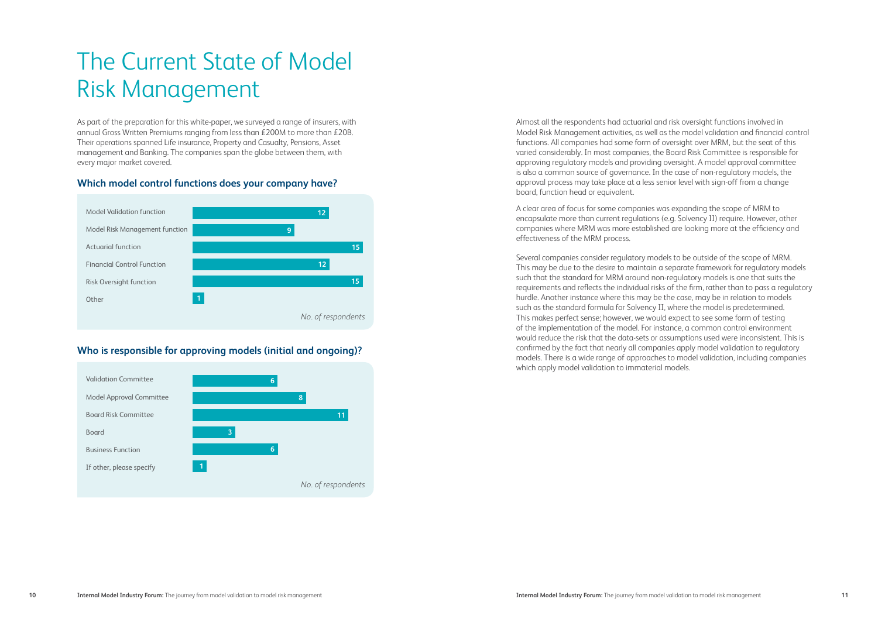# The Current State of Model Risk Management

As part of the preparation for this white-paper, we surveyed a range of insurers, with annual Gross Written Premiums ranging from less than £200M to more than £20B. Their operations spanned Life insurance, Property and Casualty, Pensions, Asset management and Banking. The companies span the globe between them, with every major market covered.

#### **Which model control functions does your company have?**



#### **Who is responsible for approving models (initial and ongoing)?**



Almost all the respondents had actuarial and risk oversight functions involved in Model Risk Management activities, as well as the model validation and financial control functions. All companies had some form of oversight over MRM, but the seat of this varied considerably. In most companies, the Board Risk Committee is responsible for approving regulatory models and providing oversight. A model approval committee is also a common source of governance. In the case of non-regulatory models, the approval process may take place at a less senior level with sign-off from a change board, function head or equivalent.

A clear area of focus for some companies was expanding the scope of MRM to encapsulate more than current regulations (e.g. Solvency II) require. However, other companies where MRM was more established are looking more at the efficiency and effectiveness of the MRM process.

Several companies consider regulatory models to be outside of the scope of MRM. This may be due to the desire to maintain a separate framework for regulatory models such that the standard for MRM around non-regulatory models is one that suits the requirements and reflects the individual risks of the firm, rather than to pass a regulatory hurdle. Another instance where this may be the case, may be in relation to models such as the standard formula for Solvency II, where the model is predetermined. This makes perfect sense; however, we would expect to see some form of testing of the implementation of the model. For instance, a common control environment would reduce the risk that the data-sets or assumptions used were inconsistent. This is confirmed by the fact that nearly all companies apply model validation to regulatory models. There is a wide range of approaches to model validation, including companies which apply model validation to immaterial models.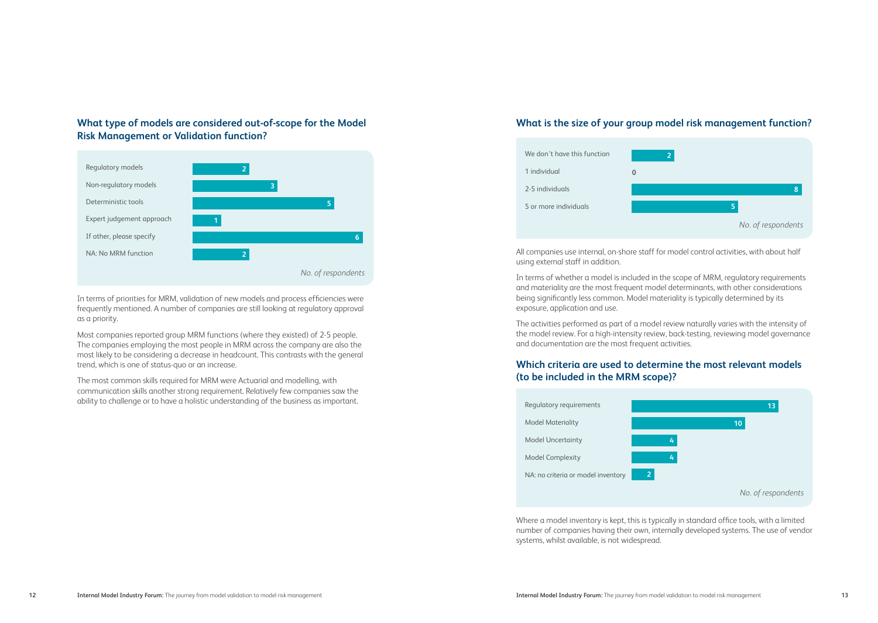#### **What type of models are considered out-of-scope for the Model Risk Management or Validation function?**



In terms of priorities for MRM, validation of new models and process efficiencies were frequently mentioned. A number of companies are still looking at regulatory approval as a priority.

Most companies reported group MRM functions (where they existed) of 2-5 people. The companies employing the most people in MRM across the company are also the most likely to be considering a decrease in headcount. This contrasts with the general trend, which is one of status-quo or an increase.

The most common skills required for MRM were Actuarial and modelling, with communication skills another strong requirement. Relatively few companies saw the ability to challenge or to have a holistic understanding of the business as important.

#### **What is the size of your group model risk management function?**



All companies use internal, on-shore staff for model control activities, with about half using external staff in addition.

In terms of whether a model is included in the scope of MRM, regulatory requirements and materiality are the most frequent model determinants, with other considerations being significantly less common. Model materiality is typically determined by its exposure, application and use.

The activities performed as part of a model review naturally varies with the intensity of the model review. For a high-intensity review, back-testing, reviewing model governance and documentation are the most frequent activities.

#### **Which criteria are used to determine the most relevant models (to be included in the MRM scope)?**



Where a model inventory is kept, this is typically in standard office tools, with a limited number of companies having their own, internally developed systems. The use of vendor systems, whilst available, is not widespread.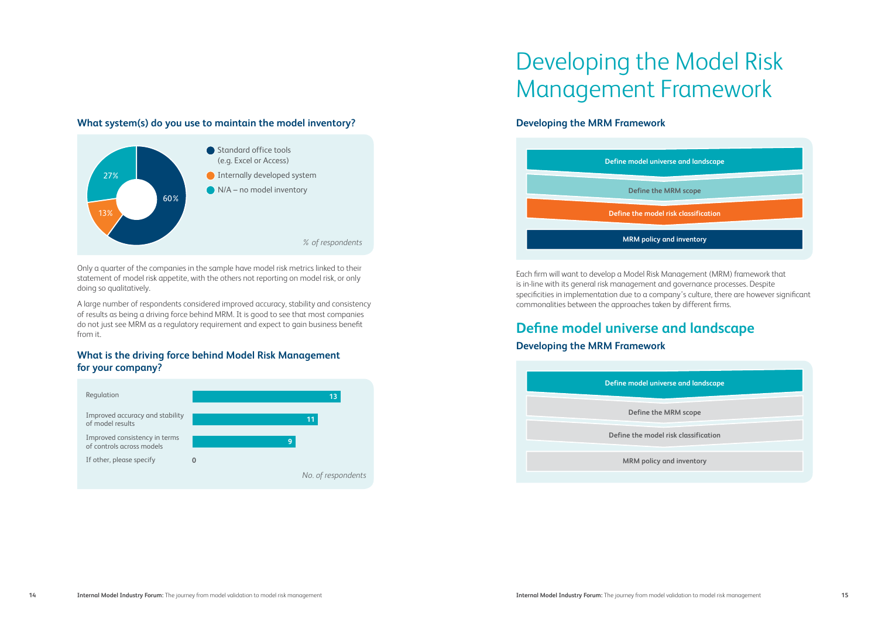#### **What system(s) do you use to maintain the model inventory?**



Only a quarter of the companies in the sample have model risk metrics linked to their statement of model risk appetite, with the others not reporting on model risk, or only doing so qualitatively.

A large number of respondents considered improved accuracy, stability and consistency of results as being a driving force behind MRM. It is good to see that most companies do not just see MRM as a regulatory requirement and expect to gain business benefit from it.

#### **What is the driving force behind Model Risk Management for your company?**



# Developing the Model Risk Management Framework

#### **Developing the MRM Framework**



Each firm will want to develop a Model Risk Management (MRM) framework that is in-line with its general risk management and governance processes. Despite specificities in implementation due to a company's culture, there are however significant commonalities between the approaches taken by different firms.

# **Define model universe and landscape**

#### **Developing the MRM Framework**

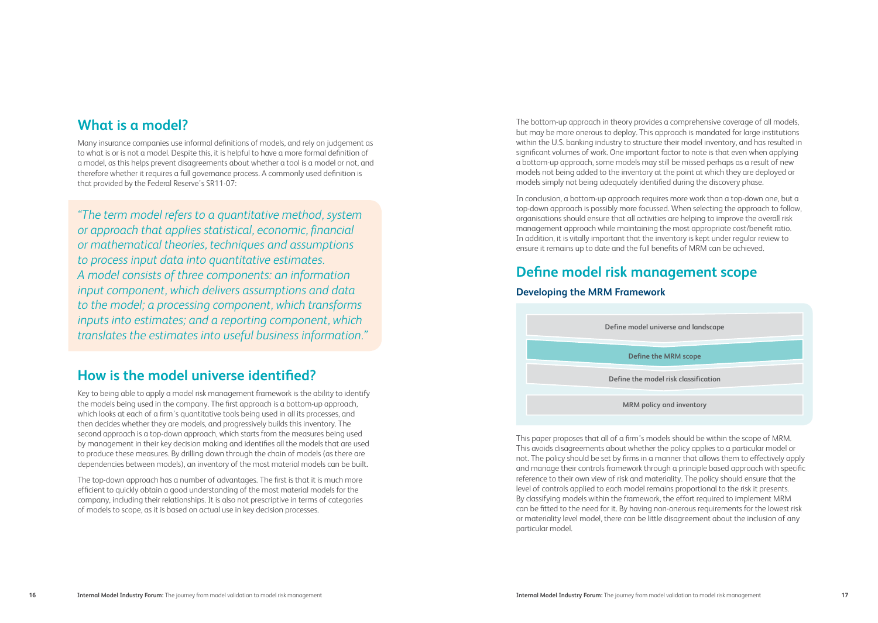### **What is a model?**

Many insurance companies use informal definitions of models, and rely on judgement as to what is or is not a model. Despite this, it is helpful to have a more formal definition of a model, as this helps prevent disagreements about whether a tool is a model or not, and therefore whether it requires a full governance process. A commonly used definition is that provided by the Federal Reserve's SR11-07:

*"The term model refers to a quantitative method, system or approach that applies statistical, economic, financial or mathematical theories, techniques and assumptions to process input data into quantitative estimates. A model consists of three components: an information input component, which delivers assumptions and data to the model; a processing component, which transforms inputs into estimates; and a reporting component, which translates the estimates into useful business information."*

# **How is the model universe identified?**

Key to being able to apply a model risk management framework is the ability to identify the models being used in the company. The first approach is a bottom-up approach, which looks at each of a firm's quantitative tools being used in all its processes, and then decides whether they are models, and progressively builds this inventory. The second approach is a top-down approach, which starts from the measures being used by management in their key decision making and identifies all the models that are used to produce these measures. By drilling down through the chain of models (as there are dependencies between models), an inventory of the most material models can be built.

The top-down approach has a number of advantages. The first is that it is much more efficient to quickly obtain a good understanding of the most material models for the company, including their relationships. It is also not prescriptive in terms of categories of models to scope, as it is based on actual use in key decision processes.

The bottom-up approach in theory provides a comprehensive coverage of all models, but may be more onerous to deploy. This approach is mandated for large institutions within the U.S. banking industry to structure their model inventory, and has resulted in significant volumes of work. One important factor to note is that even when applying a bottom-up approach, some models may still be missed perhaps as a result of new models not being added to the inventory at the point at which they are deployed or models simply not being adequately identified during the discovery phase.

In conclusion, a bottom-up approach requires more work than a top-down one, but a top-down approach is possibly more focussed. When selecting the approach to follow, organisations should ensure that all activities are helping to improve the overall risk management approach while maintaining the most appropriate cost/benefit ratio. In addition, it is vitally important that the inventory is kept under regular review to ensure it remains up to date and the full benefits of MRM can be achieved.

### **Define model risk management scope**

#### **Developing the MRM Framework**



This paper proposes that all of a firm's models should be within the scope of MRM. This avoids disagreements about whether the policy applies to a particular model or not. The policy should be set by firms in a manner that allows them to effectively apply and manage their controls framework through a principle based approach with specific reference to their own view of risk and materiality. The policy should ensure that the level of controls applied to each model remains proportional to the risk it presents. By classifying models within the framework, the effort required to implement MRM can be fitted to the need for it. By having non-onerous requirements for the lowest risk or materiality level model, there can be little disagreement about the inclusion of any particular model.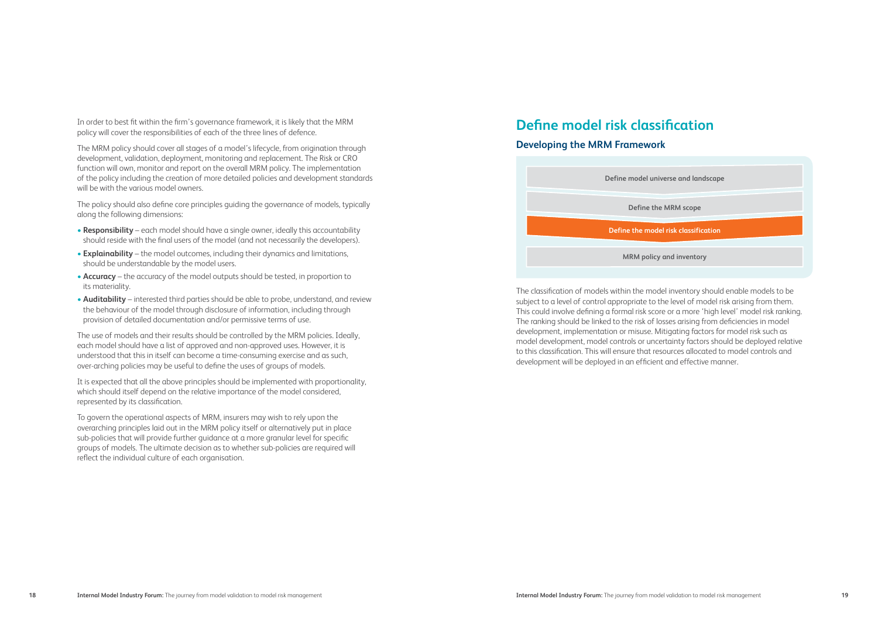In order to best fit within the firm's governance framework, it is likely that the MRM policy will cover the responsibilities of each of the three lines of defence.

The MRM policy should cover all stages of a model's lifecycle, from origination through development, validation, deployment, monitoring and replacement. The Risk or CRO function will own, monitor and report on the overall MRM policy. The implementation of the policy including the creation of more detailed policies and development standards will be with the various model owners.

The policy should also define core principles guiding the governance of models, typically along the following dimensions:

- **Responsibility** each model should have a single owner, ideally this accountability should reside with the final users of the model (and not necessarily the developers).
- **Explainability** the model outcomes, including their dynamics and limitations, should be understandable by the model users.
- **Accuracy** the accuracy of the model outputs should be tested, in proportion to its materiality.
- **Auditability** interested third parties should be able to probe, understand, and review the behaviour of the model through disclosure of information, including through provision of detailed documentation and/or permissive terms of use.

The use of models and their results should be controlled by the MRM policies. Ideally, each model should have a list of approved and non-approved uses. However, it is understood that this in itself can become a time-consuming exercise and as such, over-arching policies may be useful to define the uses of groups of models.

It is expected that all the above principles should be implemented with proportionality, which should itself depend on the relative importance of the model considered, represented by its classification.

To govern the operational aspects of MRM, insurers may wish to rely upon the overarching principles laid out in the MRM policy itself or alternatively put in place sub-policies that will provide further guidance at a more granular level for specific groups of models. The ultimate decision as to whether sub-policies are required will reflect the individual culture of each organisation.

# **Define model risk classification**

#### **Developing the MRM Framework**



The classification of models within the model inventory should enable models to be subject to a level of control appropriate to the level of model risk arising from them. This could involve defining a formal risk score or a more 'high level' model risk ranking. The ranking should be linked to the risk of losses arising from deficiencies in model development, implementation or misuse. Mitigating factors for model risk such as model development, model controls or uncertainty factors should be deployed relative to this classification. This will ensure that resources allocated to model controls and development will be deployed in an efficient and effective manner.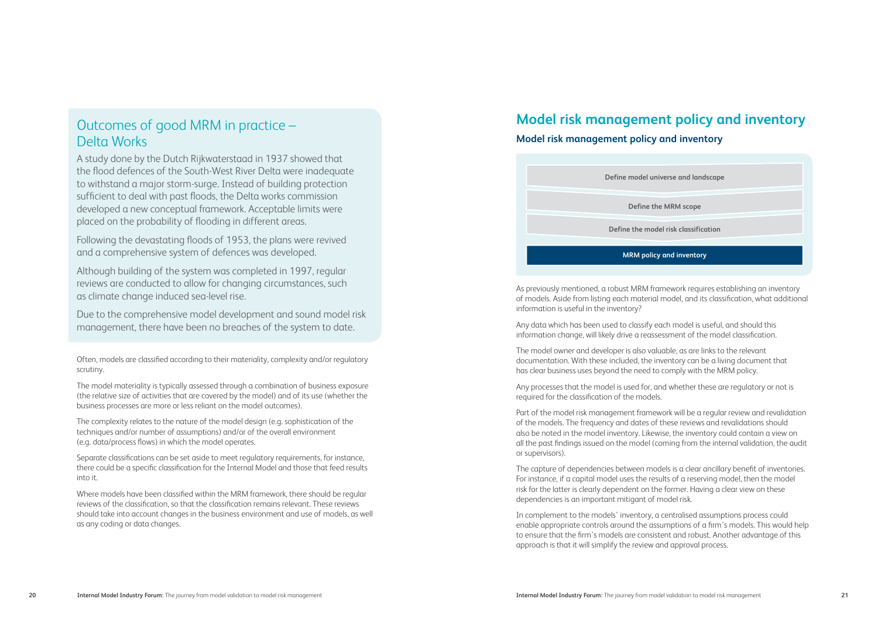# Outcomes of good MRM in practice – Delta Works

A study done by the Dutch Rijkwaterstaad in 1937 showed that the flood defences of the South-West River Delta were inadequate to withstand a major storm-surge. Instead of building protection sufficient to deal with past floods, the Delta works commission developed a new conceptual framework. Acceptable limits were placed on the probability of flooding in different areas.

Following the devastating floods of 1953, the plans were revived and a comprehensive system of defences was developed.

Although building of the system was completed in 1997, regular reviews are conducted to allow for changing circumstances, such as climate change induced sea-level rise.

Due to the comprehensive model development and sound model risk management, there have been no breaches of the system to date.

Often, models are classified according to their materiality, complexity and/or regulatory scrutiny.

The model materiality is typically assessed through a combination of business exposure (the relative size of activities that are covered by the model) and of its use (whether the business processes are more or less reliant on the model outcomes).

The complexity relates to the nature of the model design (e.g. sophistication of the techniques and/or number of assumptions) and/or of the overall environment (e.g. data/process flows) in which the model operates.

Separate classifications can be set aside to meet regulatory requirements, for instance, there could be a specific classification for the Internal Model and those that feed results into it.

Where models have been classified within the MRM framework, there should be regular reviews of the classification, so that the classification remains relevant. These reviews should take into account changes in the business environment and use of models, as well as any coding or data changes.

# **Model risk management policy and inventory**

#### **Model risk management policy and inventory**

| Define the model risk classification |
|--------------------------------------|
| Define the MRM scope                 |
| Define model universe and landscape  |

As previously mentioned, a robust MRM framework requires establishing an inventory of models. Aside from listing each material model, and its classification, what additional information is useful in the inventory?

Any data which has been used to classify each model is useful, and should this information change, will likely drive a reassessment of the model classification.

The model owner and developer is also valuable, as are links to the relevant documentation. With these included, the inventory can be a living document that has clear business uses beyond the need to comply with the MRM policy.

Any processes that the model is used for, and whether these are regulatory or not is required for the classification of the models.

Part of the model risk management framework will be a regular review and revalidation of the models. The frequency and dates of these reviews and revalidations should also be noted in the model inventory. Likewise, the inventory could contain a view on all the past findings issued on the model (coming from the internal validation, the audit or supervisors).

The capture of dependencies between models is a clear ancillary benefit of inventories. For instance, if a capital model uses the results of a reserving model, then the model risk for the latter is clearly dependent on the former. Having a clear view on these dependencies is an important mitigant of model risk.

In complement to the models' inventory, a centralised assumptions process could enable appropriate controls around the assumptions of a firm's models. This would help to ensure that the firm's models are consistent and robust. Another advantage of this approach is that it will simplify the review and approval process.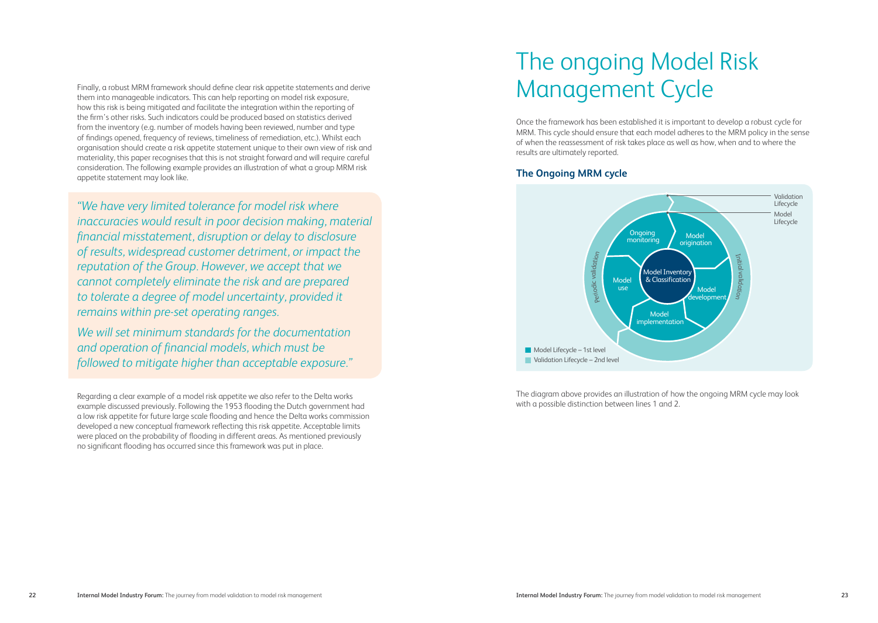Finally, a robust MRM framework should define clear risk appetite statements and derive<br>them into managemble indicators. This can belp reporting on model risk exposure them into manageable indicators. This can help reporting on model risk exposure, how this risk is being mitigated and facilitate the integration within the reporting of the firm's other risks. Such indicators could be produced based on statistics derived from the inventory (e.g. number of models having been reviewed, number and type of findings opened, frequency of reviews, timeliness of remediation, etc.). Whilst each organisation should create a risk appetite statement unique to their own view of risk and materiality, this paper recognises that this is not straight forward and will require careful consideration. The following example provides an illustration of what a group MRM risk appetite statement may look like.

*"We have very limited tolerance for model risk where inaccuracies would result in poor decision making, material financial misstatement, disruption or delay to disclosure of results, widespread customer detriment, or impact the reputation of the Group. However, we accept that we cannot completely eliminate the risk and are prepared to tolerate a degree of model uncertainty, provided it remains within pre-set operating ranges.* 

*We will set minimum standards for the documentation and operation of financial models, which must be followed to mitigate higher than acceptable exposure."* 

Regarding a clear example of a model risk appetite we also refer to the Delta works example discussed previously. Following the 1953 flooding the Dutch government had a low risk appetite for future large scale flooding and hence the Delta works commission developed a new conceptual framework reflecting this risk appetite. Acceptable limits were placed on the probability of flooding in different areas. As mentioned previously no significant flooding has occurred since this framework was put in place.

# The ongoing Model Risk

Once the framework has been established it is important to develop a robust cycle for MRM. This cycle should ensure that each model adheres to the MRM policy in the sense of when the reassessment of risk takes place as well as how, when and to where the results are ultimately reported.

#### **The Ongoing MRM cycle**



The diagram above provides an illustration of how the ongoing MRM cycle may look with a possible distinction between lines 1 and 2.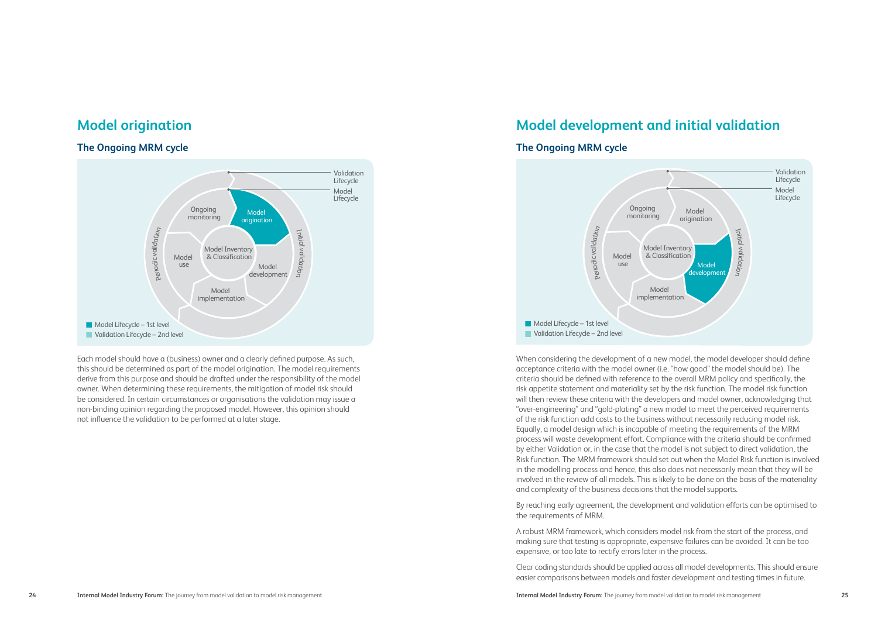### **Model origination**

#### **The Ongoing MRM cycle**



Each model should have a (business) owner and a clearly defined purpose. As such, this should be determined as part of the model origination. The model requirements derive from this purpose and should be drafted under the responsibility of the model owner. When determining these requirements, the mitigation of model risk should be considered. In certain circumstances or organisations the validation may issue a non-binding opinion regarding the proposed model. However, this opinion should not influence the validation to be performed at a later stage.

### **Model development and initial validation**



**The Ongoing MRM cycle**

When considering the development of a new model, the model developer should define acceptance criteria with the model owner (i.e. "how good" the model should be). The criteria should be defined with reference to the overall MRM policy and specifically, the risk appetite statement and materiality set by the risk function. The model risk function will then review these criteria with the developers and model owner, acknowledging that "over-engineering" and "gold-plating" a new model to meet the perceived requirements of the risk function add costs to the business without necessarily reducing model risk. Equally, a model design which is incapable of meeting the requirements of the MRM process will waste development effort. Compliance with the criteria should be confirmed by either Validation or, in the case that the model is not subject to direct validation, the Risk function. The MRM framework should set out when the Model Risk function is involved in the modelling process and hence, this also does not necessarily mean that they will be involved in the review of all models. This is likely to be done on the basis of the materiality and complexity of the business decisions that the model supports.

By reaching early agreement, the development and validation efforts can be optimised to the requirements of MRM.

A robust MRM framework, which considers model risk from the start of the process, and making sure that testing is appropriate, expensive failures can be avoided. It can be too expensive, or too late to rectify errors later in the process.

Clear coding standards should be applied across all model developments. This should ensure easier comparisons between models and faster development and testing times in future.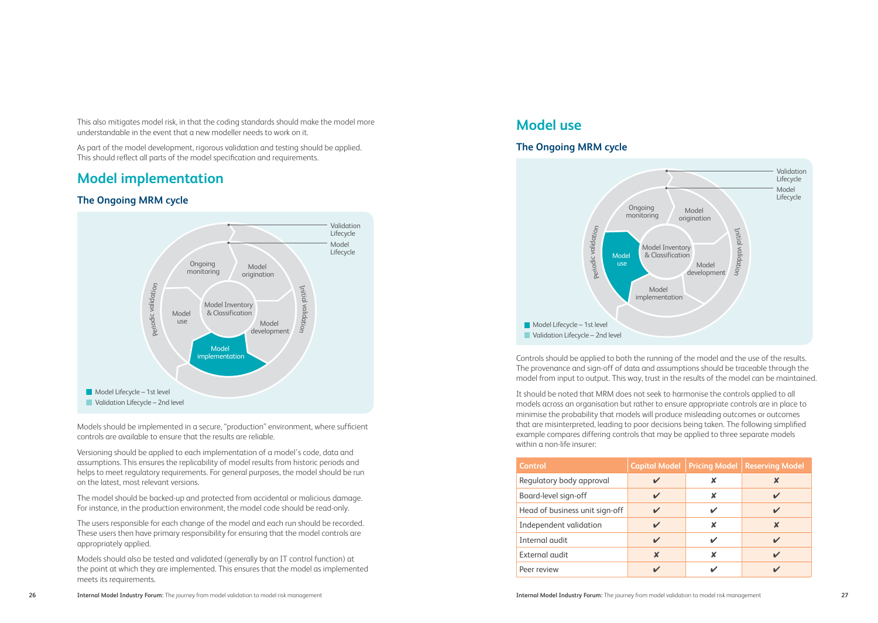This also mitigates model risk, in that the coding standards should make the model more understandable in the event that a new modeller needs to work on it.

As part of the model development, rigorous validation and testing should be applied. This should reflect all parts of the model specification and requirements.

### **Model implementation**

#### **The Ongoing MRM cycle**



Models should be implemented in a secure, "production" environment, where sufficient controls are available to ensure that the results are reliable.

Versioning should be applied to each implementation of a model's code, data and assumptions. This ensures the replicability of model results from historic periods and helps to meet regulatory requirements. For general purposes, the model should be run on the latest, most relevant versions.

The model should be backed-up and protected from accidental or malicious damage. For instance, in the production environment, the model code should be read-only.

The users responsible for each change of the model and each run should be recorded. These users then have primary responsibility for ensuring that the model controls are appropriately applied.

Models should also be tested and validated (generally by an IT control function) at the point at which they are implemented. This ensures that the model as implemented meets its requirements.

## **Model use**

#### **The Ongoing MRM cycle**



Controls should be applied to both the running of the model and the use of the results. The provenance and sign-off of data and assumptions should be traceable through the model from input to output. This way, trust in the results of the model can be maintained.

It should be noted that MRM does not seek to harmonise the controls applied to all models across an organisation but rather to ensure appropriate controls are in place to minimise the probability that models will produce misleading outcomes or outcomes that are misinterpreted, leading to poor decisions being taken. The following simplified example compares differing controls that may be applied to three separate models within a non-life insurer:

| Control                        | <b>Capital Model</b> | <b>Pricing Model</b> | <b>Reserving Model</b> |
|--------------------------------|----------------------|----------------------|------------------------|
| Regulatory body approval       |                      | x                    | X                      |
| Board-level sign-off           |                      | x                    |                        |
| Head of business unit sign-off | ✔                    | ✔                    | V                      |
| Independent validation         |                      | x                    | x                      |
| Internal audit                 |                      | ັ                    |                        |
| External audit                 | x                    | x                    |                        |
| Peer review                    |                      |                      |                        |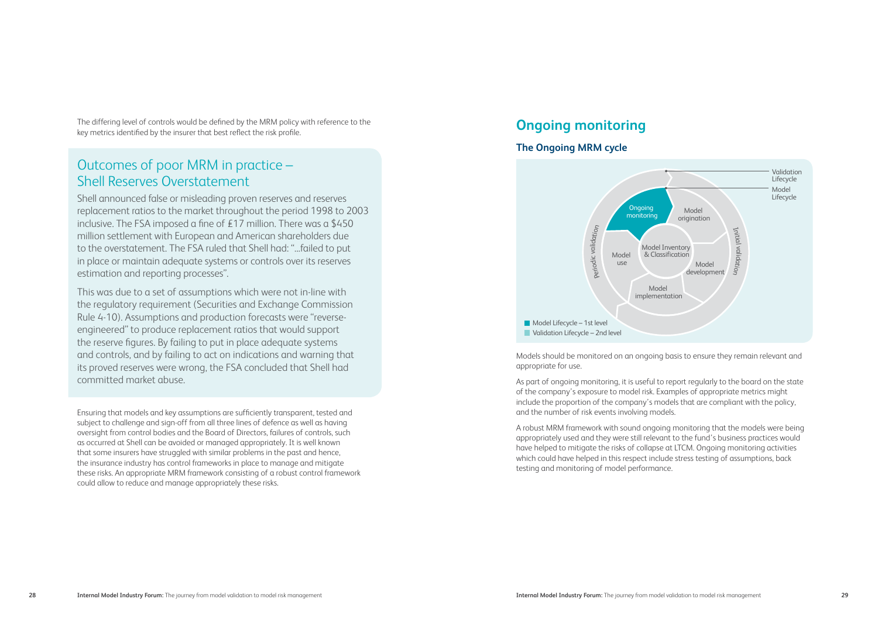The differing level of controls would be defined by the MRM policy with reference to the key metrics identified by the insurer that best reflect the risk profile.

# Outcomes of poor MRM in practice – Shell Reserves Overstatement

Shell announced false or misleading proven reserves and reserves replacement ratios to the market throughout the period 1998 to 2003 inclusive. The FSA imposed a fine of £17 million. There was a \$450 million settlement with European and American shareholders due to the overstatement. The FSA ruled that Shell had: "...failed to put in place or maintain adequate systems or controls over its reserves estimation and reporting processes".

This was due to a set of assumptions which were not in-line with the regulatory requirement (Securities and Exchange Commission Rule 4-10). Assumptions and production forecasts were "reverseengineered" to produce replacement ratios that would support the reserve figures. By failing to put in place adequate systems and controls, and by failing to act on indications and warning that its proved reserves were wrong, the FSA concluded that Shell had committed market abuse.

Ensuring that models and key assumptions are sufficiently transparent, tested and subject to challenge and sign-off from all three lines of defence as well as having oversight from control bodies and the Board of Directors, failures of controls, such as occurred at Shell can be avoided or managed appropriately. It is well known that some insurers have struggled with similar problems in the past and hence, the insurance industry has control frameworks in place to manage and mitigate these risks. An appropriate MRM framework consisting of a robust control framework could allow to reduce and manage appropriately these risks.

### **Ongoing monitoring**

#### **The Ongoing MRM cycle**



Models should be monitored on an ongoing basis to ensure they remain relevant and appropriate for use.

As part of ongoing monitoring, it is useful to report regularly to the board on the state of the company's exposure to model risk. Examples of appropriate metrics might include the proportion of the company's models that are compliant with the policy, and the number of risk events involving models.

A robust MRM framework with sound ongoing monitoring that the models were being appropriately used and they were still relevant to the fund's business practices would have helped to mitigate the risks of collapse at LTCM. Ongoing monitoring activities which could have helped in this respect include stress testing of assumptions, back testing and monitoring of model performance.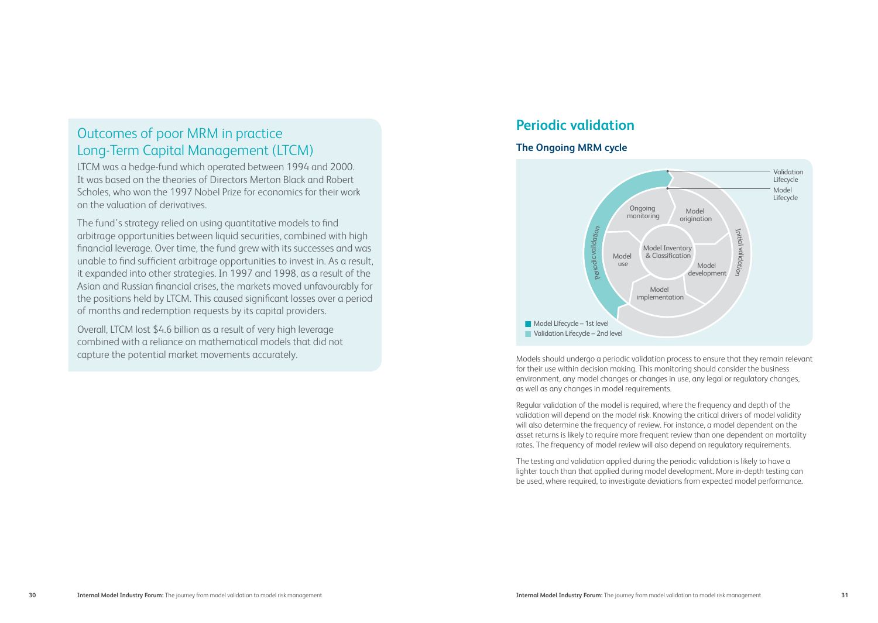# Outcomes of poor MRM in practice Long-Term Capital Management (LTCM)

LTCM was a hedge-fund which operated between 1994 and 2000. It was based on the theories of Directors Merton Black and Robert Scholes, who won the 1997 Nobel Prize for economics for their work on the valuation of derivatives.

The fund's strategy relied on using quantitative models to find arbitrage opportunities between liquid securities, combined with high financial leverage. Over time, the fund grew with its successes and was unable to find sufficient arbitrage opportunities to invest in. As a result, it expanded into other strategies. In 1997 and 1998, as a result of the Asian and Russian financial crises, the markets moved unfavourably for the positions held by LTCM. This caused significant losses over a period of months and redemption requests by its capital providers.

Overall, LTCM lost \$4.6 billion as a result of very high leverage combined with a reliance on mathematical models that did not capture the potential market movements accurately.

# **Periodic validation**

#### **The Ongoing MRM cycle**



Models should undergo a periodic validation process to ensure that they remain relevant for their use within decision making. This monitoring should consider the business environment, any model changes or changes in use, any legal or regulatory changes, as well as any changes in model requirements.

Regular validation of the model is required, where the frequency and depth of the validation will depend on the model risk. Knowing the critical drivers of model validity will also determine the frequency of review. For instance, a model dependent on the asset returns is likely to require more frequent review than one dependent on mortality rates. The frequency of model review will also depend on regulatory requirements.

The testing and validation applied during the periodic validation is likely to have a lighter touch than that applied during model development. More in-depth testing can be used, where required, to investigate deviations from expected model performance.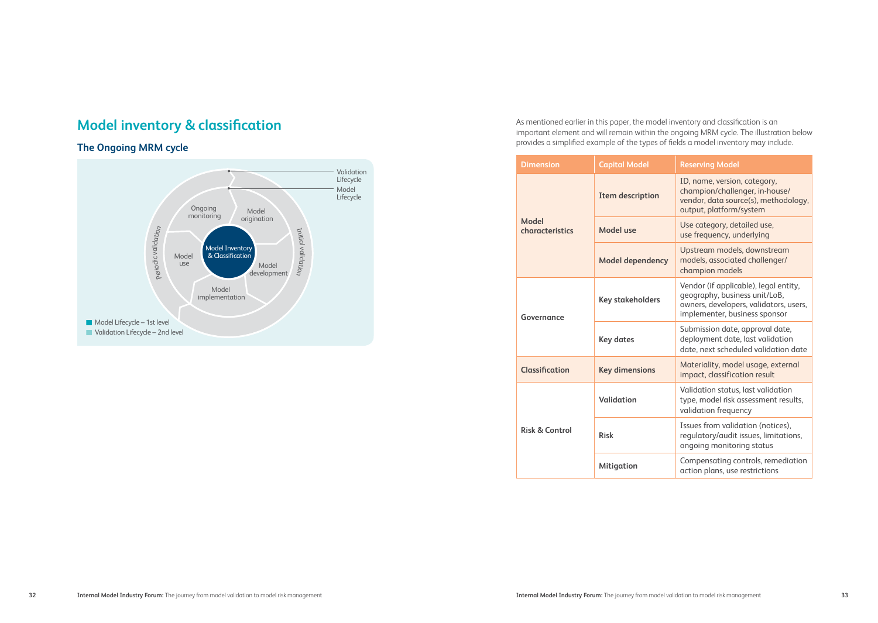# **Model inventory & classification**

#### **The Ongoing MRM cycle**



As mentioned earlier in this paper, the model inventory and classification is an important element and will remain within the ongoing MRM cycle. The illustration below provides a simplified example of the types of fields a model inventory may include.

|  | <b>Dimension</b>                    | <b>Capital Model</b>    | <b>Reserving Model</b>                                                                                                                            |
|--|-------------------------------------|-------------------------|---------------------------------------------------------------------------------------------------------------------------------------------------|
|  | Model<br>characteristics            | Item description        | ID, name, version, category,<br>champion/challenger, in-house/<br>vendor, data source(s), methodology,<br>output, platform/system                 |
|  |                                     | Model use               | Use category, detailed use,<br>use frequency, underlying                                                                                          |
|  |                                     | <b>Model dependency</b> | Upstream models, downstream<br>models, associated challenger/<br>champion models                                                                  |
|  | Governance<br><b>Classification</b> | Key stakeholders        | Vendor (if applicable), legal entity,<br>geography, business unit/LoB,<br>owners, developers, validators, users,<br>implementer, business sponsor |
|  |                                     | <b>Key dates</b>        | Submission date, approval date,<br>deployment date, last validation<br>date, next scheduled validation date                                       |
|  |                                     | <b>Key dimensions</b>   | Materiality, model usage, external<br>impact, classification result                                                                               |
|  | Risk & Control                      | Validation              | Validation status, last validation<br>type, model risk assessment results,<br>validation frequency                                                |
|  |                                     | <b>Risk</b>             | Issues from validation (notices),<br>regulatory/audit issues, limitations,<br>ongoing monitoring status                                           |
|  |                                     | Mitigation              | Compensating controls, remediation<br>action plans, use restrictions                                                                              |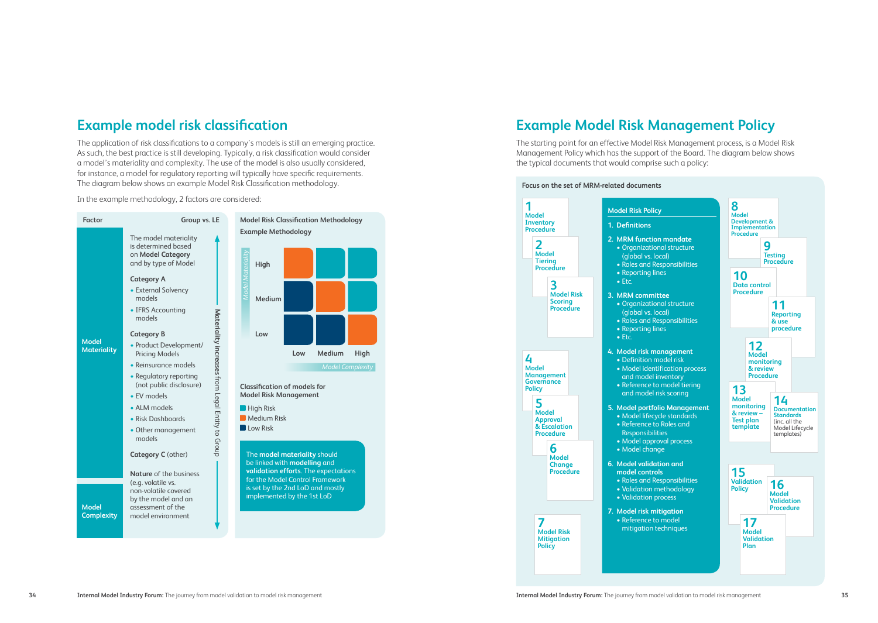# **Example model risk classification**

The application of risk classifications to a company's models is still an emerging practice. As such, the best practice is still developing. Typically, a risk classification would consider a model's materiality and complexity. The use of the model is also usually considered, for instance, a model for regulatory reporting will typically have specific requirements. The diagram below shows an example Model Risk Classification methodology.

In the example methodology, 2 factors are considered:



# **Example Model Risk Management Policy**

The starting point for an effective Model Risk Management process, is a Model Risk Management Policy which has the support of the Board. The diagram below shows the typical documents that would comprise such a policy:

#### **Focus on the set of MRM-related documents**

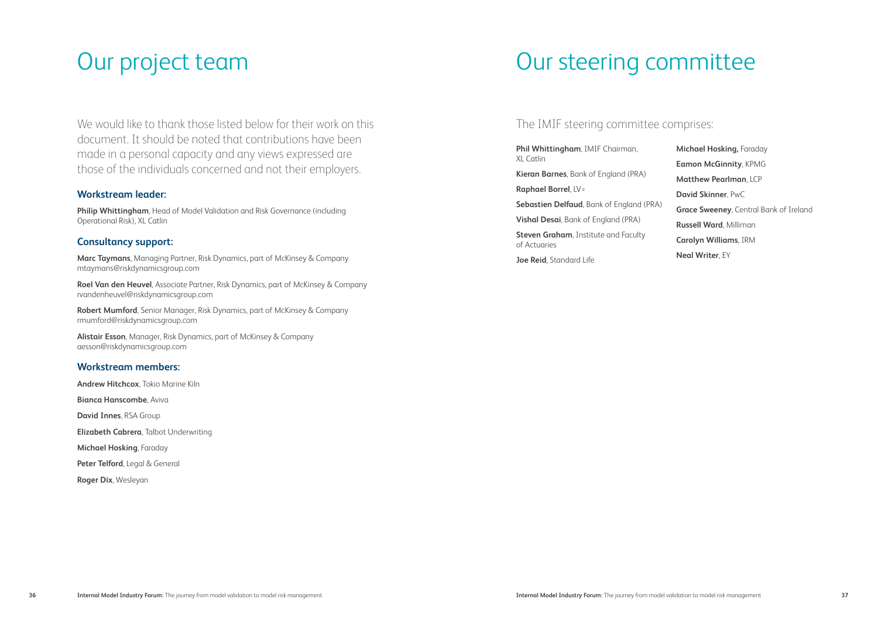# Our project team

We would like to thank those listed below for their work on this document. It should be noted that contributions have been made in a personal capacity and any views expressed are those of the individuals concerned and not their employers.

#### **Workstream leader:**

**Philip Whittingham**, Head of Model Validation and Risk Governance (including Operational Risk), XL Catlin

#### **Consultancy support:**

**Marc Taymans**, Managing Partner, Risk Dynamics, part of McKinsey & Company mtaymans@riskdynamicsgroup.com

**Roel Van den Heuvel**, Associate Partner, Risk Dynamics, part of McKinsey & Company rvandenheuvel@riskdynamicsgroup.com

**Robert Mumford**, Senior Manager, Risk Dynamics, part of McKinsey & Company rmumford@riskdynamicsgroup.com

**Alistair Esson**, Manager, Risk Dynamics, part of McKinsey & Company aesson@riskdynamicsgroup.com

#### **Workstream members:**

**Andrew Hitchcox**, Tokio Marine Kiln

**Bianca Hanscombe**, Aviva

**David Innes**, RSA Group

**Elizabeth Cabrera**, Talbot Underwriting

**Michael Hosking**, Faraday

**Peter Telford**, Legal & General

**Roger Dix**, Wesleyan

# Our steering committee

#### The IMIF steering committee comprises:

**Phil Whittingham**, IMIF Chairman, XL Catlin

**Kieran Barnes**, Bank of England (PRA)

**Raphael Borrel**, LV=

**Sebastien Delfaud**, Bank of England (PRA)

**Vishal Desai**, Bank of England (PRA)

**Steven Graham**, Institute and Faculty of Actuaries

**Joe Reid**, Standard Life

**Michael Hosking,** Faraday **Eamon McGinnity**, KPMG **Matthew Pearlman**, LCP **David Skinner**, PwC **Grace Sweeney**, Central Bank of Ireland **Russell Ward**, Milliman **Carolyn Williams**, IRM **Neal Writer**, EY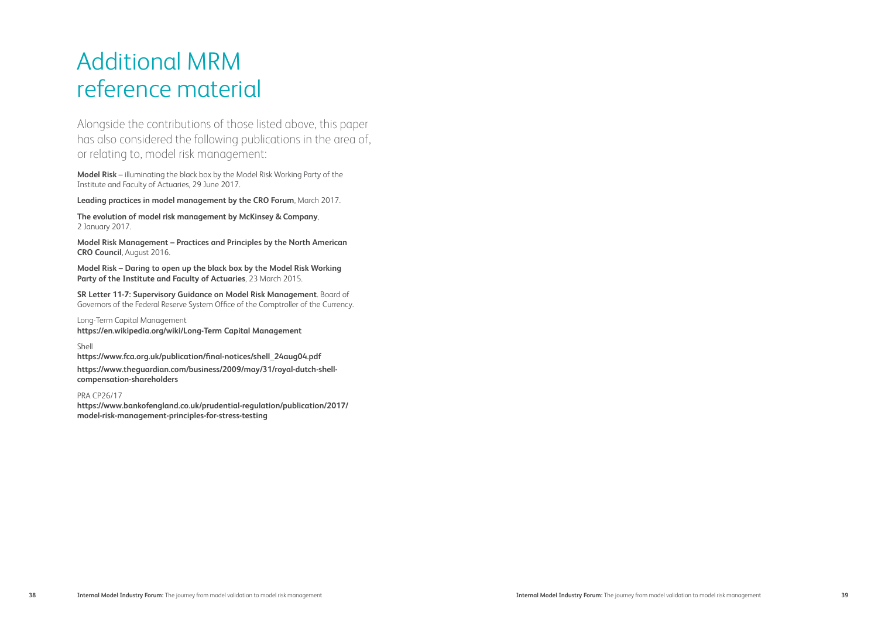# Additional MRM reference material

Alongside the contributions of those listed above, this paper has also considered the following publications in the area of, or relating to, model risk management:

**Model Risk** – illuminating the black box by the Model Risk Working Party of the Institute and Faculty of Actuaries, 29 June 2017.

**Leading practices in model management by the CRO Forum**, March 2017.

**The evolution of model risk management by McKinsey & Company**, 2 January 2017.

**Model Risk Management – Practices and Principles by the North American CRO Council**, August 2016.

**Model Risk – Daring to open up the black box by the Model Risk Working Party of the Institute and Faculty of Actuaries**, 23 March 2015.

**SR Letter 11-7: Supervisory Guidance on Model Risk Management**. Board of Governors of the Federal Reserve System Office of the Comptroller of the Currency.

Long-Term Capital Management **https://en.wikipedia.org/wiki/Long-Term Capital Management**

Shell

**https://www.fca.org.uk/publication/final-notices/shell\_24aug04.pdf https://www.theguardian.com/business/2009/may/31/royal-dutch-shellcompensation-shareholders**

PRA CP26/17

**https://www.bankofengland.co.uk/prudential-regulation/publication/2017/ model-risk-management-principles-for-stress-testing**